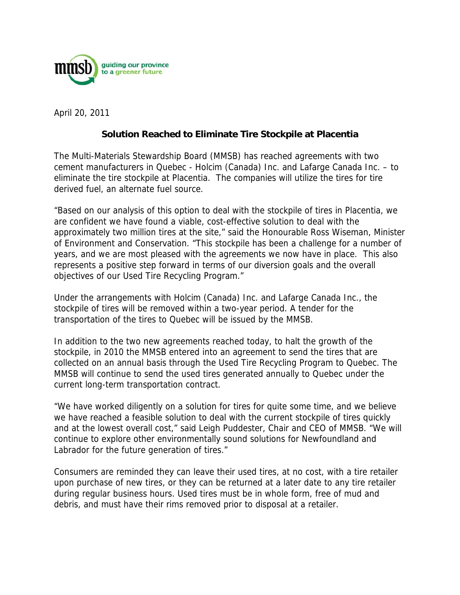

April 20, 2011

## **Solution Reached to Eliminate Tire Stockpile at Placentia**

The Multi-Materials Stewardship Board (MMSB) has reached agreements with two cement manufacturers in Quebec - Holcim (Canada) Inc. and Lafarge Canada Inc. – to eliminate the tire stockpile at Placentia. The companies will utilize the tires for tire derived fuel, an alternate fuel source.

"Based on our analysis of this option to deal with the stockpile of tires in Placentia, we are confident we have found a viable, cost-effective solution to deal with the approximately two million tires at the site," said the Honourable Ross Wiseman, Minister of Environment and Conservation. "This stockpile has been a challenge for a number of years, and we are most pleased with the agreements we now have in place. This also represents a positive step forward in terms of our diversion goals and the overall objectives of our Used Tire Recycling Program."

Under the arrangements with Holcim (Canada) Inc. and Lafarge Canada Inc., the stockpile of tires will be removed within a two-year period. A tender for the transportation of the tires to Quebec will be issued by the MMSB.

In addition to the two new agreements reached today, to halt the growth of the stockpile, in 2010 the MMSB entered into an agreement to send the tires that are collected on an annual basis through the Used Tire Recycling Program to Quebec. The MMSB will continue to send the used tires generated annually to Quebec under the current long-term transportation contract.

"We have worked diligently on a solution for tires for quite some time, and we believe we have reached a feasible solution to deal with the current stockpile of tires quickly and at the lowest overall cost," said Leigh Puddester, Chair and CEO of MMSB. "We will continue to explore other environmentally sound solutions for Newfoundland and Labrador for the future generation of tires."

Consumers are reminded they can leave their used tires, at no cost, with a tire retailer upon purchase of new tires, or they can be returned at a later date to any tire retailer during regular business hours. Used tires must be in whole form, free of mud and debris, and must have their rims removed prior to disposal at a retailer.